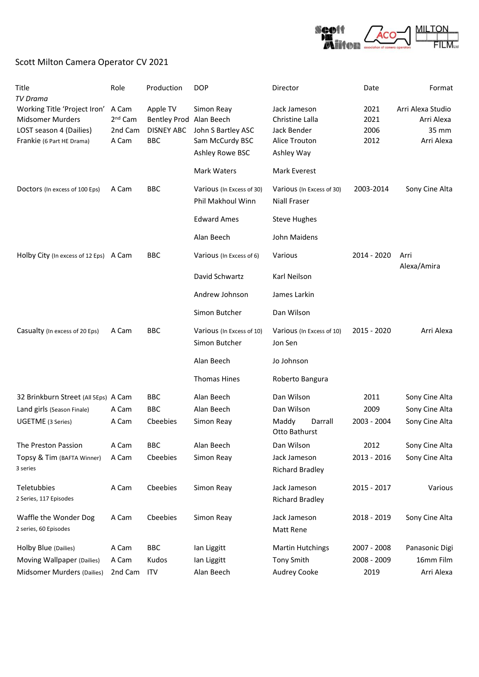

## Scott Milton Camera Operator CV 2021

| Title                                          | Role                | Production              | <b>DOP</b>                                     | Director                                         | Date        | Format              |
|------------------------------------------------|---------------------|-------------------------|------------------------------------------------|--------------------------------------------------|-------------|---------------------|
| <b>TV Drama</b>                                |                     |                         |                                                |                                                  |             |                     |
| Working Title 'Project Iron'                   | A Cam               | Apple TV                | Simon Reay                                     | Jack Jameson                                     | 2021        | Arri Alexa Studio   |
| <b>Midsomer Murders</b>                        | 2 <sup>nd</sup> Cam | Bentley Prod Alan Beech |                                                | Christine Lalla                                  | 2021        | Arri Alexa          |
| LOST season 4 (Dailies)                        | 2nd Cam             | <b>DISNEY ABC</b>       | John S Bartley ASC                             | Jack Bender                                      | 2006        | 35 mm               |
| Frankie (6 Part HE Drama)                      | A Cam               | <b>BBC</b>              | Sam McCurdy BSC                                | Alice Trouton                                    | 2012        | Arri Alexa          |
|                                                |                     |                         | Ashley Rowe BSC                                | Ashley Way                                       |             |                     |
|                                                |                     |                         | Mark Waters                                    | Mark Everest                                     |             |                     |
| Doctors (In excess of 100 Eps)                 | A Cam               | <b>BBC</b>              | Various (In Excess of 30)<br>Phil Makhoul Winn | Various (In Excess of 30)<br><b>Niall Fraser</b> | 2003-2014   | Sony Cine Alta      |
|                                                |                     |                         | <b>Edward Ames</b>                             | <b>Steve Hughes</b>                              |             |                     |
|                                                |                     |                         | Alan Beech                                     | John Maidens                                     |             |                     |
| Holby City (In excess of 12 Eps) A Cam         |                     | <b>BBC</b>              | Various (In Excess of 6)                       | Various                                          | 2014 - 2020 | Arri<br>Alexa/Amira |
|                                                |                     |                         | David Schwartz                                 | Karl Neilson                                     |             |                     |
|                                                |                     |                         | Andrew Johnson                                 | James Larkin                                     |             |                     |
|                                                |                     |                         | Simon Butcher                                  | Dan Wilson                                       |             |                     |
| Casualty (In excess of 20 Eps)                 | A Cam               | <b>BBC</b>              | Various (In Excess of 10)<br>Simon Butcher     | Various (In Excess of 10)<br>Jon Sen             | 2015 - 2020 | Arri Alexa          |
|                                                |                     |                         | Alan Beech                                     | Jo Johnson                                       |             |                     |
|                                                |                     |                         | <b>Thomas Hines</b>                            | Roberto Bangura                                  |             |                     |
| 32 Brinkburn Street (All 5Eps) A Cam           |                     | <b>BBC</b>              | Alan Beech                                     | Dan Wilson                                       | 2011        | Sony Cine Alta      |
| Land girls (Season Finale)                     | A Cam               | <b>BBC</b>              | Alan Beech                                     | Dan Wilson                                       | 2009        | Sony Cine Alta      |
| UGETME (3 Series)                              | A Cam               | Cbeebies                | Simon Reay                                     | Maddy<br>Darrall<br>Otto Bathurst                | 2003 - 2004 | Sony Cine Alta      |
| The Preston Passion                            | A Cam               | <b>BBC</b>              | Alan Beech                                     | Dan Wilson                                       | 2012        | Sony Cine Alta      |
| Topsy & Tim (BAFTA Winner)<br>3 series         | A Cam               | Cheebies                | Simon Reay                                     | Jack Jameson<br><b>Richard Bradley</b>           | 2013 - 2016 | Sony Cine Alta      |
| Teletubbies                                    | A Cam               | Cbeebies                | Simon Reay                                     | Jack Jameson                                     | 2015 - 2017 | Various             |
| 2 Series, 117 Episodes                         |                     |                         |                                                | <b>Richard Bradley</b>                           |             |                     |
| Waffle the Wonder Dog<br>2 series, 60 Episodes | A Cam               | Cbeebies                | Simon Reay                                     | Jack Jameson<br>Matt Rene                        | 2018 - 2019 | Sony Cine Alta      |
| Holby Blue (Dailies)                           | A Cam               | <b>BBC</b>              | Ian Liggitt                                    | <b>Martin Hutchings</b>                          | 2007 - 2008 | Panasonic Digi      |
| Moving Wallpaper (Dailies)                     | A Cam               | Kudos                   | Ian Liggitt                                    | <b>Tony Smith</b>                                | 2008 - 2009 | 16mm Film           |
| Midsomer Murders (Dailies)                     | 2nd Cam             | <b>ITV</b>              | Alan Beech                                     | Audrey Cooke                                     | 2019        | Arri Alexa          |